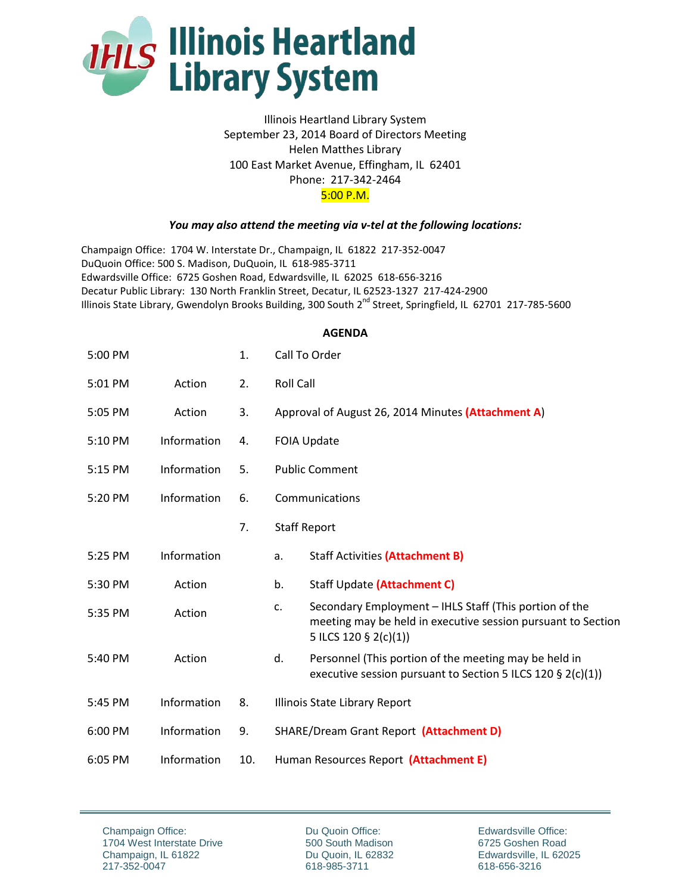

## Illinois Heartland Library System September 23, 2014 Board of Directors Meeting Helen Matthes Library 100 East Market Avenue, Effingham, IL 62401 Phone: 217-342-2464 5:00 P.M.

## *You may also attend the meeting via v-tel at the following locations:*

Champaign Office: 1704 W. Interstate Dr., Champaign, IL 61822 217-352-0047 DuQuoin Office: 500 S. Madison, DuQuoin, IL 618-985-3711 Edwardsville Office: 6725 Goshen Road, Edwardsville, IL 62025 618-656-3216 Decatur Public Library: 130 North Franklin Street, Decatur, IL 62523-1327 217-424-2900 Illinois State Library, Gwendolyn Brooks Building, 300 South 2<sup>nd</sup> Street, Springfield, IL 62701 217-785-5600

## **AGENDA**

| 5:00 PM |             | 1.  | Call To Order                                      |                                                                                                                                                 |
|---------|-------------|-----|----------------------------------------------------|-------------------------------------------------------------------------------------------------------------------------------------------------|
| 5:01 PM | Action      | 2.  | <b>Roll Call</b>                                   |                                                                                                                                                 |
| 5:05 PM | Action      | 3.  | Approval of August 26, 2014 Minutes (Attachment A) |                                                                                                                                                 |
| 5:10 PM | Information | 4.  | <b>FOIA Update</b>                                 |                                                                                                                                                 |
| 5:15 PM | Information | 5.  | <b>Public Comment</b>                              |                                                                                                                                                 |
| 5:20 PM | Information | 6.  | Communications                                     |                                                                                                                                                 |
|         |             | 7.  | <b>Staff Report</b>                                |                                                                                                                                                 |
| 5:25 PM | Information |     | a.                                                 | <b>Staff Activities (Attachment B)</b>                                                                                                          |
| 5:30 PM | Action      |     | b.                                                 | Staff Update (Attachment C)                                                                                                                     |
| 5:35 PM | Action      |     | C.                                                 | Secondary Employment - IHLS Staff (This portion of the<br>meeting may be held in executive session pursuant to Section<br>5 ILCS 120 § 2(c)(1)) |
| 5:40 PM | Action      |     | d.                                                 | Personnel (This portion of the meeting may be held in<br>executive session pursuant to Section 5 ILCS 120 § 2(c)(1))                            |
| 5:45 PM | Information | 8.  |                                                    | Illinois State Library Report                                                                                                                   |
| 6:00 PM | Information | 9.  | SHARE/Dream Grant Report (Attachment D)            |                                                                                                                                                 |
| 6:05 PM | Information | 10. | Human Resources Report (Attachment E)              |                                                                                                                                                 |

Champaign Office: 1704 West Interstate Drive Champaign, IL 61822 217-352-0047

Du Quoin Office: 500 South Madison Du Quoin, IL 62832 618-985-3711

Edwardsville Office: 6725 Goshen Road Edwardsville, IL 62025 618-656-3216